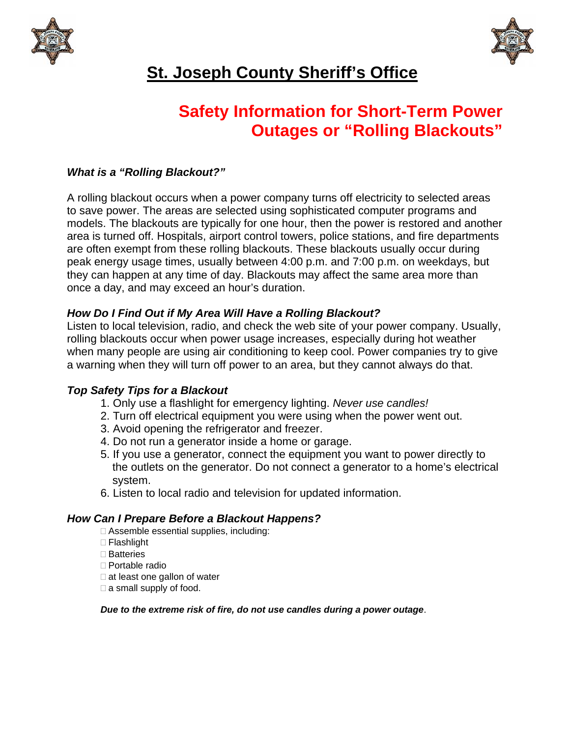



# **St. Joseph County Sheriff's Office**

# **Safety Information for Short-Term Power Outages or "Rolling Blackouts"**

# *What is a "Rolling Blackout?"*

A rolling blackout occurs when a power company turns off electricity to selected areas to save power. The areas are selected using sophisticated computer programs and models. The blackouts are typically for one hour, then the power is restored and another area is turned off. Hospitals, airport control towers, police stations, and fire departments are often exempt from these rolling blackouts. These blackouts usually occur during peak energy usage times, usually between 4:00 p.m. and 7:00 p.m. on weekdays, but they can happen at any time of day. Blackouts may affect the same area more than once a day, and may exceed an hour's duration.

# *How Do I Find Out if My Area Will Have a Rolling Blackout?*

Listen to local television, radio, and check the web site of your power company. Usually, rolling blackouts occur when power usage increases, especially during hot weather when many people are using air conditioning to keep cool. Power companies try to give a warning when they will turn off power to an area, but they cannot always do that.

## *Top Safety Tips for a Blackout*

- 1. Only use a flashlight for emergency lighting. *Never use candles!*
- 2. Turn off electrical equipment you were using when the power went out.
- 3. Avoid opening the refrigerator and freezer.
- 4. Do not run a generator inside a home or garage.
- 5. If you use a generator, connect the equipment you want to power directly to the outlets on the generator. Do not connect a generator to a home's electrical system.
- 6. Listen to local radio and television for updated information.

## *How Can I Prepare Before a Blackout Happens?*

□ Assemble essential supplies, including:

- □ Flashlight
- **□ Batteries**
- Portable radio
- $\Box$  at least one gallon of water
- $\square$  a small supply of food.

*Due to the extreme risk of fire, do not use candles during a power outage*.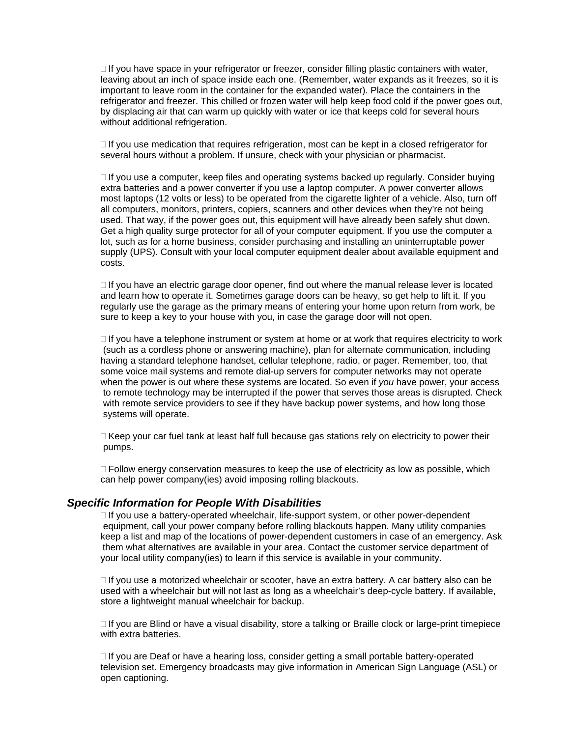$\Box$  If you have space in your refrigerator or freezer, consider filling plastic containers with water, leaving about an inch of space inside each one. (Remember, water expands as it freezes, so it is important to leave room in the container for the expanded water). Place the containers in the refrigerator and freezer. This chilled or frozen water will help keep food cold if the power goes out, by displacing air that can warm up quickly with water or ice that keeps cold for several hours without additional refrigeration.

 $\Box$  If you use medication that requires refrigeration, most can be kept in a closed refrigerator for several hours without a problem. If unsure, check with your physician or pharmacist.

 $\Box$  If you use a computer, keep files and operating systems backed up regularly. Consider buying extra batteries and a power converter if you use a laptop computer. A power converter allows most laptops (12 volts or less) to be operated from the cigarette lighter of a vehicle. Also, turn off all computers, monitors, printers, copiers, scanners and other devices when they're not being used. That way, if the power goes out, this equipment will have already been safely shut down. Get a high quality surge protector for all of your computer equipment. If you use the computer a lot, such as for a home business, consider purchasing and installing an uninterruptable power supply (UPS). Consult with your local computer equipment dealer about available equipment and costs.

 $\Box$  If you have an electric garage door opener, find out where the manual release lever is located and learn how to operate it. Sometimes garage doors can be heavy, so get help to lift it. If you regularly use the garage as the primary means of entering your home upon return from work, be sure to keep a key to your house with you, in case the garage door will not open.

 $\Box$  If you have a telephone instrument or system at home or at work that requires electricity to work (such as a cordless phone or answering machine), plan for alternate communication, including having a standard telephone handset, cellular telephone, radio, or pager. Remember, too, that some voice mail systems and remote dial-up servers for computer networks may not operate when the power is out where these systems are located. So even if *you* have power, your access to remote technology may be interrupted if the power that serves those areas is disrupted. Check with remote service providers to see if they have backup power systems, and how long those systems will operate.

 $\Box$  Keep your car fuel tank at least half full because gas stations rely on electricity to power their pumps.

 $\Box$  Follow energy conservation measures to keep the use of electricity as low as possible, which can help power company(ies) avoid imposing rolling blackouts.

#### *Specific Information for People With Disabilities*

 $\Box$  If you use a battery-operated wheelchair, life-support system, or other power-dependent equipment, call your power company before rolling blackouts happen. Many utility companies keep a list and map of the locations of power-dependent customers in case of an emergency. Ask them what alternatives are available in your area. Contact the customer service department of your local utility company(ies) to learn if this service is available in your community.

 $\Box$  If you use a motorized wheelchair or scooter, have an extra battery. A car battery also can be used with a wheelchair but will not last as long as a wheelchair's deep-cycle battery. If available, store a lightweight manual wheelchair for backup.

 $\Box$  If you are Blind or have a visual disability, store a talking or Braille clock or large-print timepiece with extra batteries.

 $\Box$  If you are Deaf or have a hearing loss, consider getting a small portable battery-operated television set. Emergency broadcasts may give information in American Sign Language (ASL) or open captioning.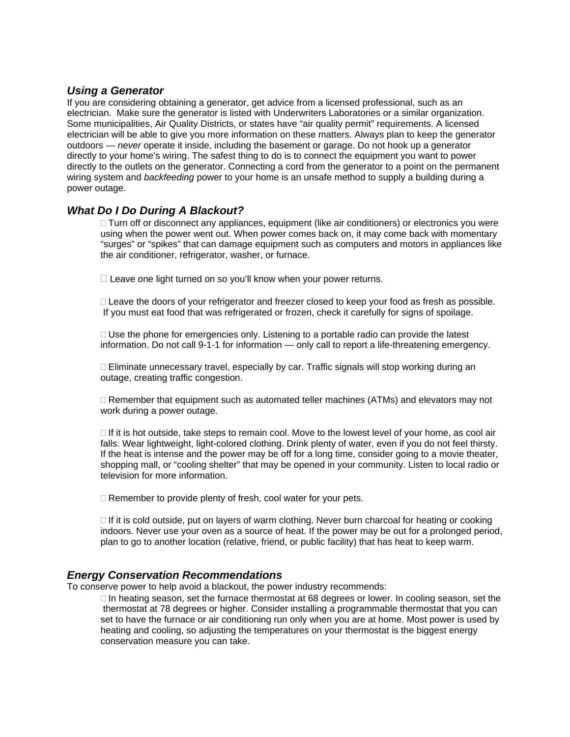## *Using a Generator*

If you are considering obtaining a generator, get advice from a licensed professional, such as an electrician. Make sure the generator is listed with Underwriters Laboratories or a similar organization. Some municipalities, Air Quality Districts, or states have "air quality permit" requirements. A licensed electrician will be able to give you more information on these matters. Always plan to keep the generator outdoors — *never* operate it inside, including the basement or garage. Do not hook up a generator directly to your home's wiring. The safest thing to do is to connect the equipment you want to power directly to the outlets on the generator. Connecting a cord from the generator to a point on the permanent wiring system and *backfeeding* power to your home is an unsafe method to supply a building during a power outage.

## *What Do I Do During A Blackout?*

□ Turn off or disconnect any appliances, equipment (like air conditioners) or electronics you were using when the power went out. When power comes back on, it may come back with momentary "surges" or "spikes" that can damage equipment such as computers and motors in appliances like the air conditioner, refrigerator, washer, or furnace.

 $\Box$  Leave one light turned on so you'll know when your power returns.

 $\Box$  Leave the doors of your refrigerator and freezer closed to keep your food as fresh as possible. If you must eat food that was refrigerated or frozen, check it carefully for signs of spoilage.

 $\Box$  Use the phone for emergencies only. Listening to a portable radio can provide the latest information. Do not call 9-1-1 for information — only call to report a life-threatening emergency.

 Eliminate unnecessary travel, especially by car. Traffic signals will stop working during an outage, creating traffic congestion.

 $\Box$  Remember that equipment such as automated teller machines (ATMs) and elevators may not work during a power outage.

 $\Box$  If it is hot outside, take steps to remain cool. Move to the lowest level of your home, as cool air falls. Wear lightweight, light-colored clothing. Drink plenty of water, even if you do not feel thirsty. If the heat is intense and the power may be off for a long time, consider going to a movie theater, shopping mall, or "cooling shelter" that may be opened in your community. Listen to local radio or television for more information.

 $\Box$  Remember to provide plenty of fresh, cool water for your pets.

 $\Box$  If it is cold outside, put on layers of warm clothing. Never burn charcoal for heating or cooking indoors. Never use your oven as a source of heat. If the power may be out for a prolonged period, plan to go to another location (relative, friend, or public facility) that has heat to keep warm.

### *Energy Conservation Recommendations*

To conserve power to help avoid a blackout, the power industry recommends:

 $\Box$  In heating season, set the furnace thermostat at 68 degrees or lower. In cooling season, set the thermostat at 78 degrees or higher. Consider installing a programmable thermostat that you can set to have the furnace or air conditioning run only when you are at home. Most power is used by heating and cooling, so adjusting the temperatures on your thermostat is the biggest energy conservation measure you can take.